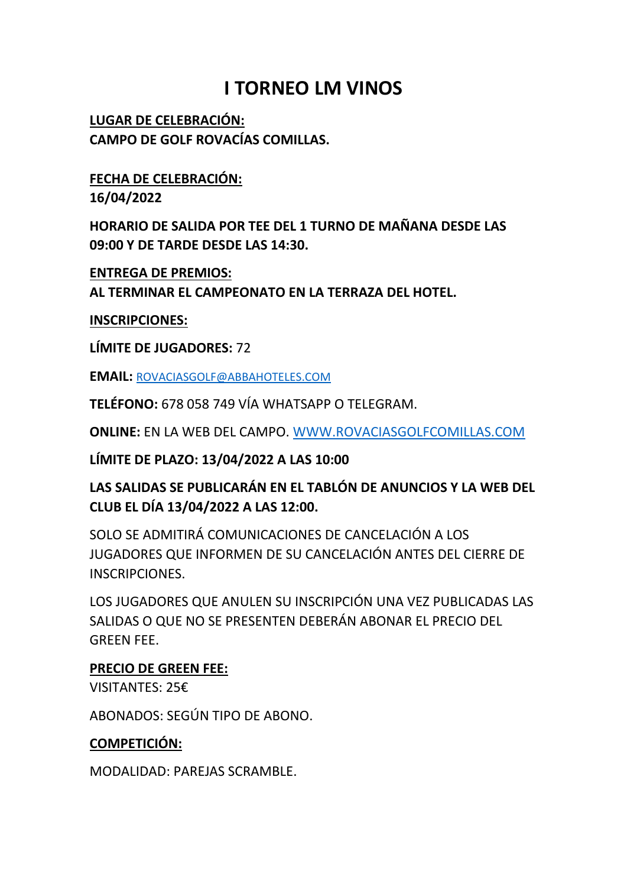# **I TORNEO LM VINOS**

**LUGAR DE CELEBRACIÓN: CAMPO DE GOLF ROVACÍAS COMILLAS.**

## **FECHA DE CELEBRACIÓN:**

**16/04/2022**

**HORARIO DE SALIDA POR TEE DEL 1 TURNO DE MAÑANA DESDE LAS 09:00 Y DE TARDE DESDE LAS 14:30.**

**ENTREGA DE PREMIOS:**

**AL TERMINAR EL CAMPEONATO EN LA TERRAZA DEL HOTEL.**

### **INSCRIPCIONES:**

**LÍMITE DE JUGADORES:** 72

**EMAIL:** [ROVACIASGOLF@ABBAHOTELES.COM](mailto:ROVACIASGOLF@ABBAHOTELES.COM)

**TELÉFONO:** 678 058 749 VÍA WHATSAPP O TELEGRAM.

**ONLINE:** EN LA WEB DEL CAMPO. [WWW.ROVACIASGOLFCOMILLAS.COM](http://www.rovaciasgolfcomillas.com/)

**LÍMITE DE PLAZO: 13/04/2022 A LAS 10:00**

## **LAS SALIDAS SE PUBLICARÁN EN EL TABLÓN DE ANUNCIOS Y LA WEB DEL CLUB EL DÍA 13/04/2022 A LAS 12:00.**

SOLO SE ADMITIRÁ COMUNICACIONES DE CANCELACIÓN A LOS JUGADORES QUE INFORMEN DE SU CANCELACIÓN ANTES DEL CIERRE DE INSCRIPCIONES.

LOS JUGADORES QUE ANULEN SU INSCRIPCIÓN UNA VEZ PUBLICADAS LAS SALIDAS O QUE NO SE PRESENTEN DEBERÁN ABONAR EL PRECIO DEL GREEN FEE.

## **PRECIO DE GREEN FEE:**

VISITANTES: 25€

ABONADOS: SEGÚN TIPO DE ABONO.

## **COMPETICIÓN:**

MODALIDAD: PAREJAS SCRAMBLE.